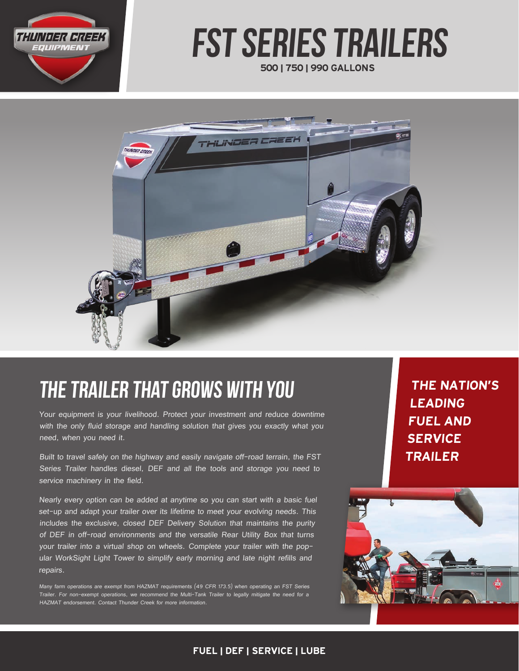

# 500 | 750 | 990 GALLONS fst series trailers



# the trailer that grows with you

Your equipment is your livelihood. Protect your investment and reduce downtime with the only fluid storage and handling solution that gives you exactly what you need, when you need it.

Built to travel safely on the highway and easily navigate off-road terrain, the FST Series Trailer handles diesel, DEF and all the tools and storage you need to service machinery in the field.

Nearly every option can be added at anytime so you can start with a basic fuel set-up and adapt your trailer over its lifetime to meet your evolving needs. This includes the exclusive, closed DEF Delivery Solution that maintains the purity of DEF in off-road environments and the versatile Rear Utility Box that turns your trailer into a virtual shop on wheels. Complete your trailer with the popular WorkSight Light Tower to simplify early morning and late night refills and repairs.

Many farm operations are exempt from HAZMAT requirements (49 CFR 173.5) when operating an FST Series Trailer. For non-exempt operations, we recommend the Multi-Tank Trailer to legally mitigate the need for a HAZMAT endorsement. Contact Thunder Creek for more information.

THE NATION'S LEADING FUEL AND **SERVICE** TRAILER



#### FUEL | DEF | SERVICE | LUBE